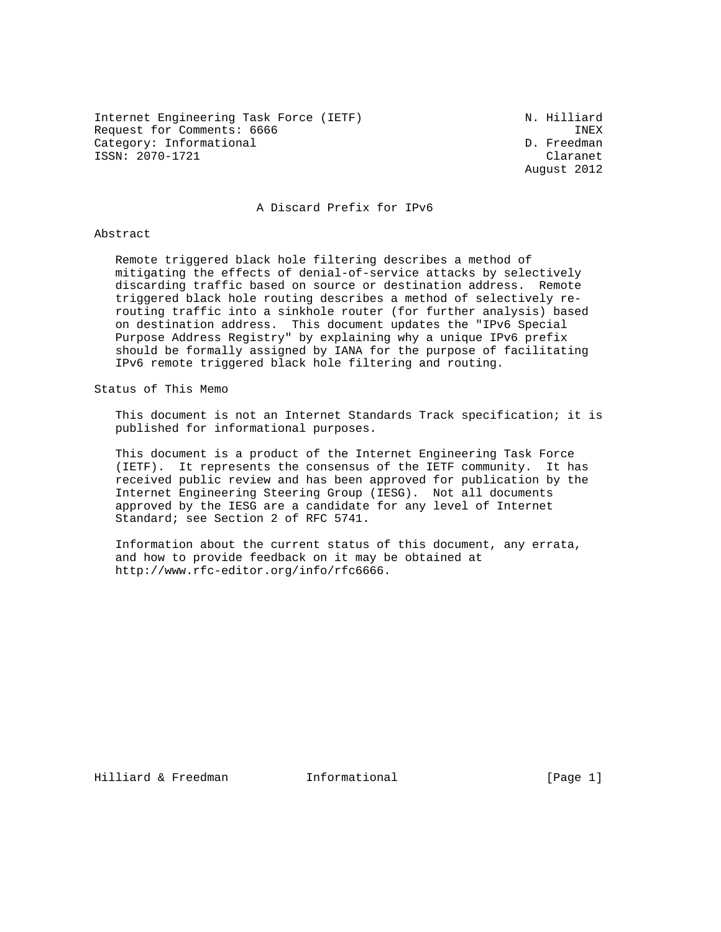Internet Engineering Task Force (IETF) N. Hilliard Request for Comments: 6666 INEX<br>Category: Informational D. Freedman Category: Informational ISSN: 2070-1721 Claranet

August 2012

### A Discard Prefix for IPv6

#### Abstract

 Remote triggered black hole filtering describes a method of mitigating the effects of denial-of-service attacks by selectively discarding traffic based on source or destination address. Remote triggered black hole routing describes a method of selectively re routing traffic into a sinkhole router (for further analysis) based on destination address. This document updates the "IPv6 Special Purpose Address Registry" by explaining why a unique IPv6 prefix should be formally assigned by IANA for the purpose of facilitating IPv6 remote triggered black hole filtering and routing.

#### Status of This Memo

 This document is not an Internet Standards Track specification; it is published for informational purposes.

 This document is a product of the Internet Engineering Task Force (IETF). It represents the consensus of the IETF community. It has received public review and has been approved for publication by the Internet Engineering Steering Group (IESG). Not all documents approved by the IESG are a candidate for any level of Internet Standard; see Section 2 of RFC 5741.

 Information about the current status of this document, any errata, and how to provide feedback on it may be obtained at http://www.rfc-editor.org/info/rfc6666.

Hilliard & Freedman 1nformational 1.1 [Page 1]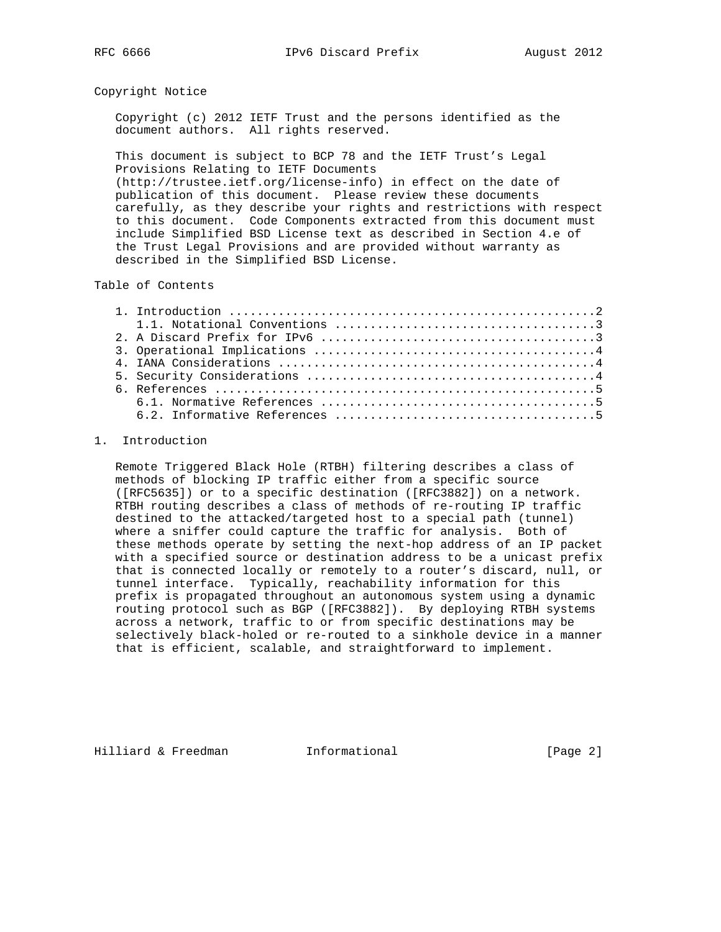## Copyright Notice

 Copyright (c) 2012 IETF Trust and the persons identified as the document authors. All rights reserved.

 This document is subject to BCP 78 and the IETF Trust's Legal Provisions Relating to IETF Documents

 (http://trustee.ietf.org/license-info) in effect on the date of publication of this document. Please review these documents carefully, as they describe your rights and restrictions with respect to this document. Code Components extracted from this document must include Simplified BSD License text as described in Section 4.e of the Trust Legal Provisions and are provided without warranty as described in the Simplified BSD License.

# Table of Contents

## 1. Introduction

 Remote Triggered Black Hole (RTBH) filtering describes a class of methods of blocking IP traffic either from a specific source ([RFC5635]) or to a specific destination ([RFC3882]) on a network. RTBH routing describes a class of methods of re-routing IP traffic destined to the attacked/targeted host to a special path (tunnel) where a sniffer could capture the traffic for analysis. Both of these methods operate by setting the next-hop address of an IP packet with a specified source or destination address to be a unicast prefix that is connected locally or remotely to a router's discard, null, or tunnel interface. Typically, reachability information for this prefix is propagated throughout an autonomous system using a dynamic routing protocol such as BGP ([RFC3882]). By deploying RTBH systems across a network, traffic to or from specific destinations may be selectively black-holed or re-routed to a sinkhole device in a manner that is efficient, scalable, and straightforward to implement.

Hilliard & Freedman 1nformational 1.1 [Page 2]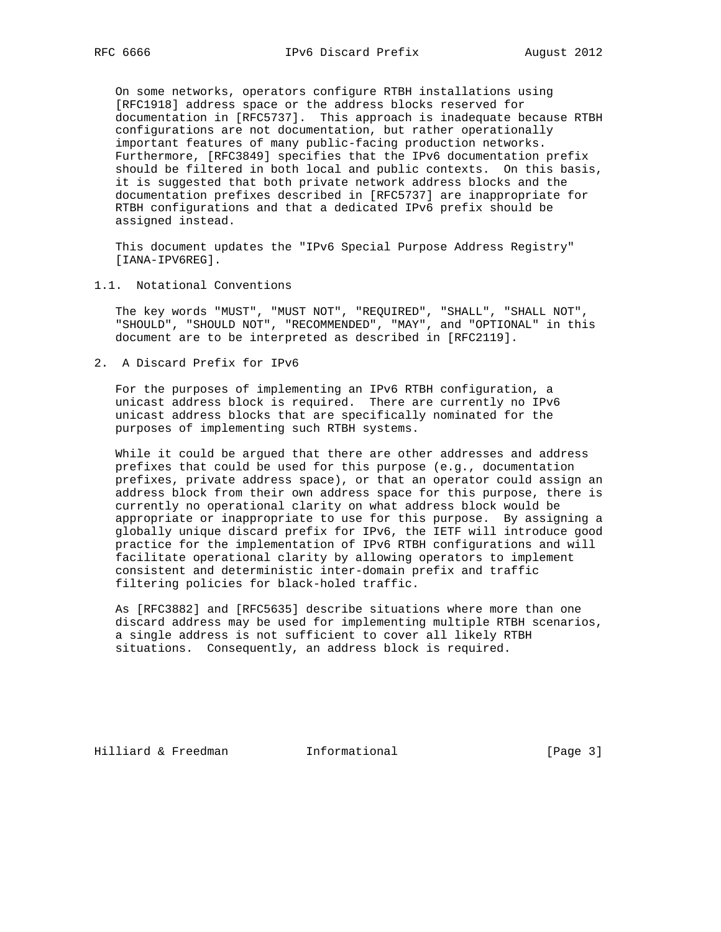On some networks, operators configure RTBH installations using [RFC1918] address space or the address blocks reserved for documentation in [RFC5737]. This approach is inadequate because RTBH configurations are not documentation, but rather operationally important features of many public-facing production networks. Furthermore, [RFC3849] specifies that the IPv6 documentation prefix should be filtered in both local and public contexts. On this basis, it is suggested that both private network address blocks and the documentation prefixes described in [RFC5737] are inappropriate for RTBH configurations and that a dedicated IPv6 prefix should be assigned instead.

 This document updates the "IPv6 Special Purpose Address Registry" [IANA-IPV6REG].

# 1.1. Notational Conventions

 The key words "MUST", "MUST NOT", "REQUIRED", "SHALL", "SHALL NOT", "SHOULD", "SHOULD NOT", "RECOMMENDED", "MAY", and "OPTIONAL" in this document are to be interpreted as described in [RFC2119].

2. A Discard Prefix for IPv6

 For the purposes of implementing an IPv6 RTBH configuration, a unicast address block is required. There are currently no IPv6 unicast address blocks that are specifically nominated for the purposes of implementing such RTBH systems.

 While it could be argued that there are other addresses and address prefixes that could be used for this purpose (e.g., documentation prefixes, private address space), or that an operator could assign an address block from their own address space for this purpose, there is currently no operational clarity on what address block would be appropriate or inappropriate to use for this purpose. By assigning a globally unique discard prefix for IPv6, the IETF will introduce good practice for the implementation of IPv6 RTBH configurations and will facilitate operational clarity by allowing operators to implement consistent and deterministic inter-domain prefix and traffic filtering policies for black-holed traffic.

 As [RFC3882] and [RFC5635] describe situations where more than one discard address may be used for implementing multiple RTBH scenarios, a single address is not sufficient to cover all likely RTBH situations. Consequently, an address block is required.

Hilliard & Freedman **Informational Informational** [Page 3]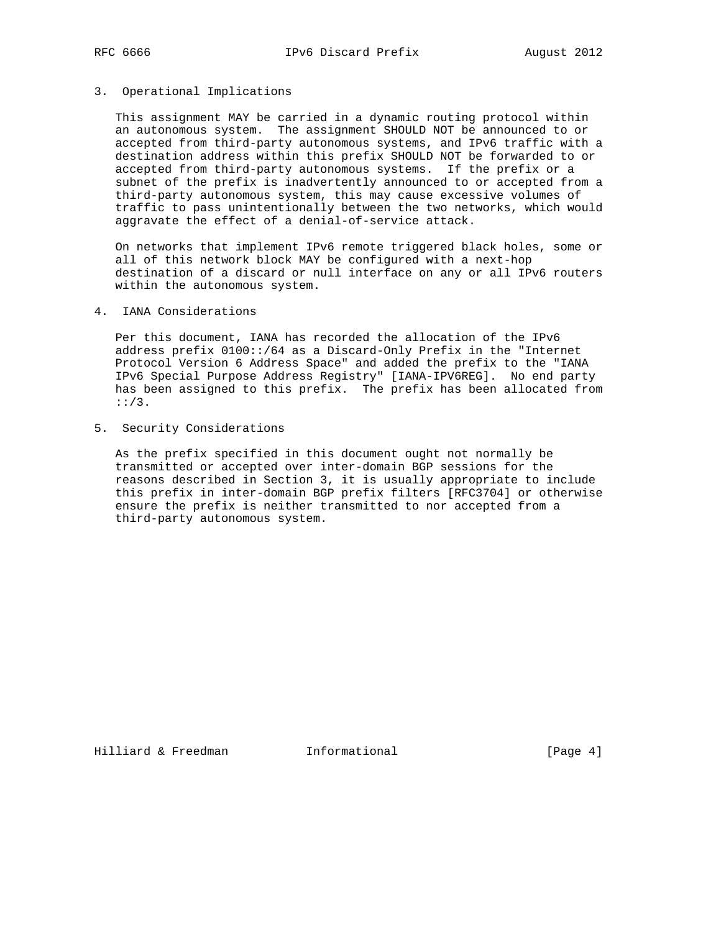# 3. Operational Implications

 This assignment MAY be carried in a dynamic routing protocol within an autonomous system. The assignment SHOULD NOT be announced to or accepted from third-party autonomous systems, and IPv6 traffic with a destination address within this prefix SHOULD NOT be forwarded to or accepted from third-party autonomous systems. If the prefix or a subnet of the prefix is inadvertently announced to or accepted from a third-party autonomous system, this may cause excessive volumes of traffic to pass unintentionally between the two networks, which would aggravate the effect of a denial-of-service attack.

 On networks that implement IPv6 remote triggered black holes, some or all of this network block MAY be configured with a next-hop destination of a discard or null interface on any or all IPv6 routers within the autonomous system.

## 4. IANA Considerations

 Per this document, IANA has recorded the allocation of the IPv6 address prefix 0100::/64 as a Discard-Only Prefix in the "Internet Protocol Version 6 Address Space" and added the prefix to the "IANA IPv6 Special Purpose Address Registry" [IANA-IPV6REG]. No end party has been assigned to this prefix. The prefix has been allocated from ::/3.

5. Security Considerations

 As the prefix specified in this document ought not normally be transmitted or accepted over inter-domain BGP sessions for the reasons described in Section 3, it is usually appropriate to include this prefix in inter-domain BGP prefix filters [RFC3704] or otherwise ensure the prefix is neither transmitted to nor accepted from a third-party autonomous system.

Hilliard & Freedman **Informational Informational** [Page 4]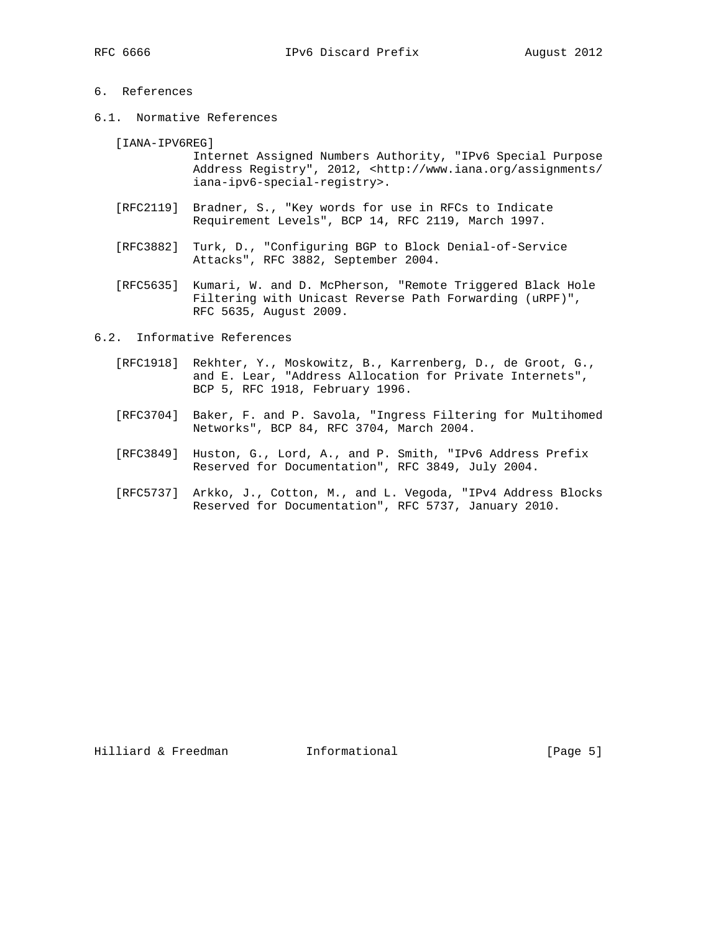# 6. References

6.1. Normative References

[IANA-IPV6REG]

 Internet Assigned Numbers Authority, "IPv6 Special Purpose Address Registry", 2012, <http://www.iana.org/assignments/ iana-ipv6-special-registry>.

- [RFC2119] Bradner, S., "Key words for use in RFCs to Indicate Requirement Levels", BCP 14, RFC 2119, March 1997.
- [RFC3882] Turk, D., "Configuring BGP to Block Denial-of-Service Attacks", RFC 3882, September 2004.
- [RFC5635] Kumari, W. and D. McPherson, "Remote Triggered Black Hole Filtering with Unicast Reverse Path Forwarding (uRPF)", RFC 5635, August 2009.

6.2. Informative References

- [RFC1918] Rekhter, Y., Moskowitz, B., Karrenberg, D., de Groot, G., and E. Lear, "Address Allocation for Private Internets", BCP 5, RFC 1918, February 1996.
- [RFC3704] Baker, F. and P. Savola, "Ingress Filtering for Multihomed Networks", BCP 84, RFC 3704, March 2004.
- [RFC3849] Huston, G., Lord, A., and P. Smith, "IPv6 Address Prefix Reserved for Documentation", RFC 3849, July 2004.
- [RFC5737] Arkko, J., Cotton, M., and L. Vegoda, "IPv4 Address Blocks Reserved for Documentation", RFC 5737, January 2010.